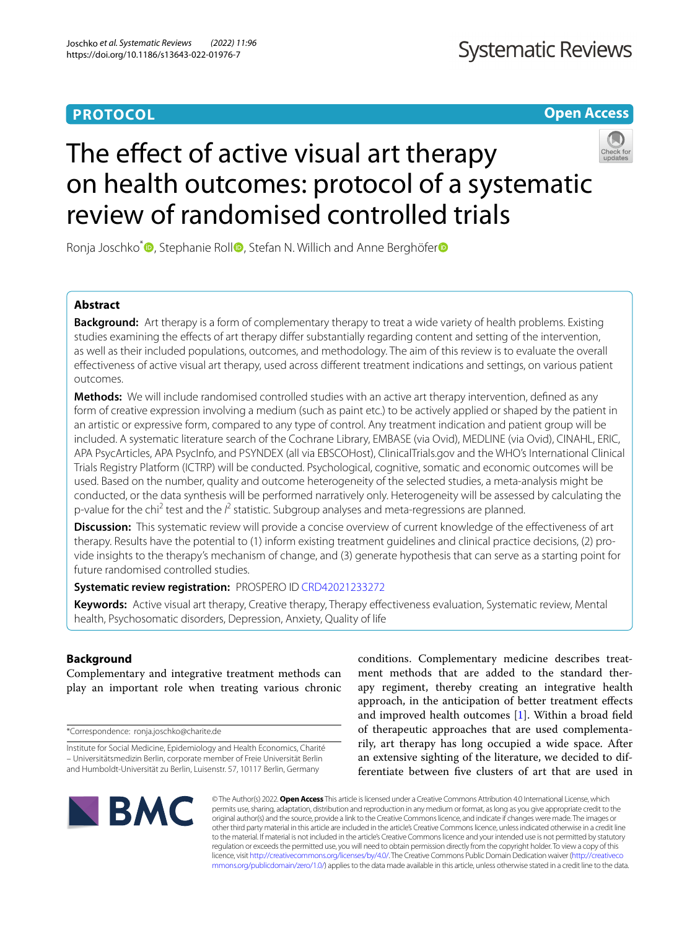# **PROTOCOL**

**Open Access**

# The effect of active visual art therapy on health outcomes: protocol of a systematic review of randomised controlled trials



Ronja Joschko<sup>[\\*](http://orcid.org/0000-0003-4450-254X)</sup> [,](http://orcid.org/0000-0003-1191-3289) Stephanie Roll<sup>o</sup>, Stefan N. Willich and Anne Berghöfer<sup>o</sup>

# **Abstract**

**Background:** Art therapy is a form of complementary therapy to treat a wide variety of health problems. Existing studies examining the effects of art therapy differ substantially regarding content and setting of the intervention, as well as their included populations, outcomes, and methodology. The aim of this review is to evaluate the overall efectiveness of active visual art therapy, used across diferent treatment indications and settings, on various patient outcomes.

**Methods:** We will include randomised controlled studies with an active art therapy intervention, defned as any form of creative expression involving a medium (such as paint etc.) to be actively applied or shaped by the patient in an artistic or expressive form, compared to any type of control. Any treatment indication and patient group will be included. A systematic literature search of the Cochrane Library, EMBASE (via Ovid), MEDLINE (via Ovid), CINAHL, ERIC, APA PsycArticles, APA PsycInfo, and PSYNDEX (all via EBSCOHost), ClinicalTrials.gov and the WHO's International Clinical Trials Registry Platform (ICTRP) will be conducted. Psychological, cognitive, somatic and economic outcomes will be used. Based on the number, quality and outcome heterogeneity of the selected studies, a meta-analysis might be conducted, or the data synthesis will be performed narratively only. Heterogeneity will be assessed by calculating the p-value for the chi<sup>2</sup> test and the  $l^2$  statistic. Subgroup analyses and meta-regressions are planned.

**Discussion:** This systematic review will provide a concise overview of current knowledge of the efectiveness of art therapy. Results have the potential to (1) inform existing treatment guidelines and clinical practice decisions, (2) provide insights to the therapy's mechanism of change, and (3) generate hypothesis that can serve as a starting point for future randomised controlled studies.

# **Systematic review registration:** PROSPERO ID [CRD42021233272](https://www.crd.york.ac.uk/prospero/display_record.php?RecordID=233272)

**Keywords:** Active visual art therapy, Creative therapy, Therapy efectiveness evaluation, Systematic review, Mental health, Psychosomatic disorders, Depression, Anxiety, Quality of life

# **Background**

Complementary and integrative treatment methods can play an important role when treating various chronic

\*Correspondence: ronja.joschko@charite.de

conditions. Complementary medicine describes treatment methods that are added to the standard therapy regiment, thereby creating an integrative health approach, in the anticipation of better treatment efects and improved health outcomes [[1\]](#page-5-0). Within a broad feld of therapeutic approaches that are used complementarily, art therapy has long occupied a wide space. After an extensive sighting of the literature, we decided to differentiate between fve clusters of art that are used in



© The Author(s) 2022. **Open Access** This article is licensed under a Creative Commons Attribution 4.0 International License, which permits use, sharing, adaptation, distribution and reproduction in any medium or format, as long as you give appropriate credit to the original author(s) and the source, provide a link to the Creative Commons licence, and indicate if changes were made. The images or other third party material in this article are included in the article's Creative Commons licence, unless indicated otherwise in a credit line to the material. If material is not included in the article's Creative Commons licence and your intended use is not permitted by statutory regulation or exceeds the permitted use, you will need to obtain permission directly from the copyright holder. To view a copy of this licence, visit [http://creativecommons.org/licenses/by/4.0/.](http://creativecommons.org/licenses/by/4.0/) The Creative Commons Public Domain Dedication waiver ([http://creativeco](http://creativecommons.org/publicdomain/zero/1.0/) [mmons.org/publicdomain/zero/1.0/](http://creativecommons.org/publicdomain/zero/1.0/)) applies to the data made available in this article, unless otherwise stated in a credit line to the data.

Institute for Social Medicine, Epidemiology and Health Economics, Charité – Universitätsmedizin Berlin, corporate member of Freie Universität Berlin and Humboldt-Universität zu Berlin, Luisenstr. 57, 10117 Berlin, Germany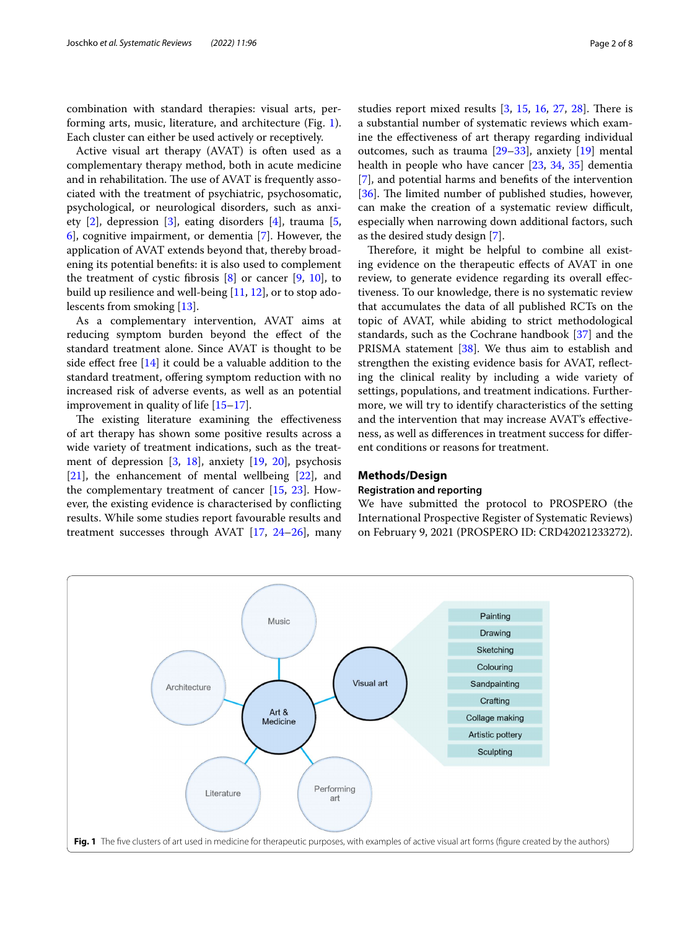combination with standard therapies: visual arts, performing arts, music, literature, and architecture (Fig. [1](#page-1-0)). Each cluster can either be used actively or receptively.

Active visual art therapy (AVAT) is often used as a complementary therapy method, both in acute medicine and in rehabilitation. The use of AVAT is frequently associated with the treatment of psychiatric, psychosomatic, psychological, or neurological disorders, such as anxiety [\[2](#page-5-1)], depression [[3\]](#page-5-2), eating disorders [[4\]](#page-6-0), trauma [\[5](#page-6-1), [6\]](#page-6-2), cognitive impairment, or dementia [[7\]](#page-6-3). However, the application of AVAT extends beyond that, thereby broadening its potential benefts: it is also used to complement the treatment of cystic fibrosis  $[8]$  $[8]$  $[8]$  or cancer  $[9, 10]$  $[9, 10]$  $[9, 10]$ , to build up resilience and well-being  $[11, 12]$  $[11, 12]$  $[11, 12]$  $[11, 12]$ , or to stop adolescents from smoking [\[13\]](#page-6-9).

As a complementary intervention, AVAT aims at reducing symptom burden beyond the efect of the standard treatment alone. Since AVAT is thought to be side effect free  $[14]$  $[14]$  it could be a valuable addition to the standard treatment, offering symptom reduction with no increased risk of adverse events, as well as an potential improvement in quality of life [\[15](#page-6-11)[–17\]](#page-6-12).

The existing literature examining the effectiveness of art therapy has shown some positive results across a wide variety of treatment indications, such as the treatment of depression [[3,](#page-5-2) [18](#page-6-13)], anxiety [\[19](#page-6-14), [20\]](#page-6-15), psychosis [[21\]](#page-6-16), the enhancement of mental wellbeing [[22\]](#page-6-17), and the complementary treatment of cancer [\[15](#page-6-11), [23\]](#page-6-18). However, the existing evidence is characterised by conficting results. While some studies report favourable results and treatment successes through AVAT [\[17](#page-6-12), [24](#page-6-19)[–26\]](#page-6-20), many

studies report mixed results  $[3, 15, 16, 27, 28]$  $[3, 15, 16, 27, 28]$  $[3, 15, 16, 27, 28]$  $[3, 15, 16, 27, 28]$  $[3, 15, 16, 27, 28]$  $[3, 15, 16, 27, 28]$  $[3, 15, 16, 27, 28]$  $[3, 15, 16, 27, 28]$  $[3, 15, 16, 27, 28]$  $[3, 15, 16, 27, 28]$  $[3, 15, 16, 27, 28]$ . There is a substantial number of systematic reviews which examine the efectiveness of art therapy regarding individual outcomes, such as trauma [[29–](#page-6-24)[33\]](#page-6-25), anxiety [\[19](#page-6-14)] mental health in people who have cancer [[23,](#page-6-18) [34](#page-6-26), [35\]](#page-6-27) dementia [[7\]](#page-6-3), and potential harms and benefts of the intervention [[36\]](#page-6-28). The limited number of published studies, however, can make the creation of a systematic review difficult, especially when narrowing down additional factors, such as the desired study design [\[7](#page-6-3)].

Therefore, it might be helpful to combine all existing evidence on the therapeutic efects of AVAT in one review, to generate evidence regarding its overall efectiveness. To our knowledge, there is no systematic review that accumulates the data of all published RCTs on the topic of AVAT, while abiding to strict methodological standards, such as the Cochrane handbook [[37\]](#page-6-29) and the PRISMA statement [\[38\]](#page-6-30). We thus aim to establish and strengthen the existing evidence basis for AVAT, refecting the clinical reality by including a wide variety of settings, populations, and treatment indications. Furthermore, we will try to identify characteristics of the setting and the intervention that may increase AVAT's efectiveness, as well as diferences in treatment success for diferent conditions or reasons for treatment.

## **Methods/Design**

## **Registration and reporting**

We have submitted the protocol to PROSPERO (the International Prospective Register of Systematic Reviews) on February 9, 2021 (PROSPERO ID: CRD42021233272).

<span id="page-1-0"></span>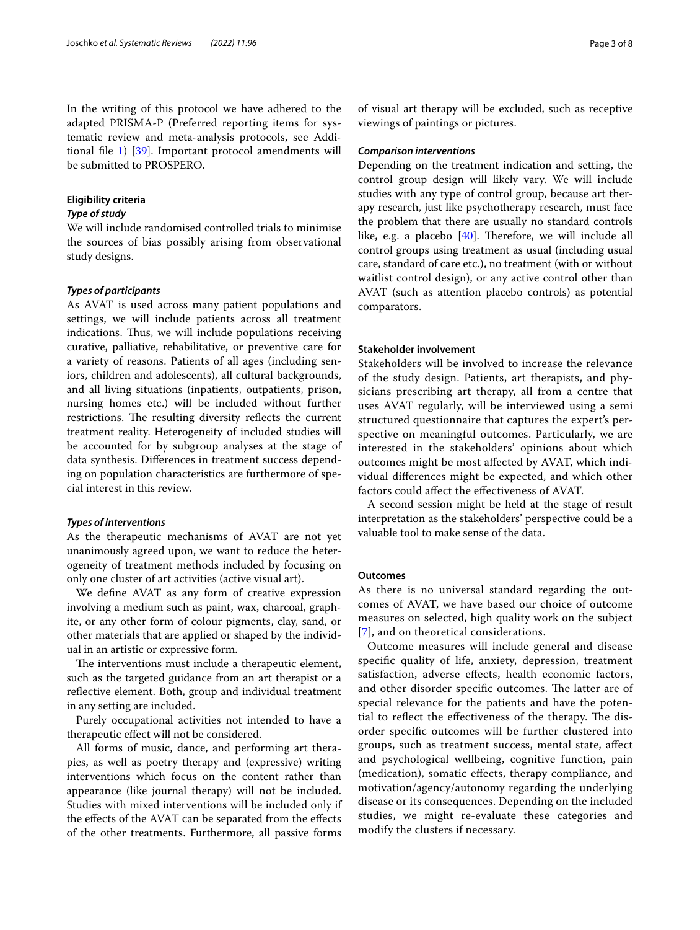In the writing of this protocol we have adhered to the adapted PRISMA-P (Preferred reporting items for systematic review and meta-analysis protocols, see Additional file  $1$ ) [\[39](#page-6-31)]. Important protocol amendments will be submitted to PROSPERO.

## **Eligibility criteria**

## *Type of study*

We will include randomised controlled trials to minimise the sources of bias possibly arising from observational study designs.

## *Types of participants*

As AVAT is used across many patient populations and settings, we will include patients across all treatment indications. Thus, we will include populations receiving curative, palliative, rehabilitative, or preventive care for a variety of reasons. Patients of all ages (including seniors, children and adolescents), all cultural backgrounds, and all living situations (inpatients, outpatients, prison, nursing homes etc.) will be included without further restrictions. The resulting diversity reflects the current treatment reality. Heterogeneity of included studies will be accounted for by subgroup analyses at the stage of data synthesis. Diferences in treatment success depending on population characteristics are furthermore of special interest in this review.

## *Types of interventions*

As the therapeutic mechanisms of AVAT are not yet unanimously agreed upon, we want to reduce the heterogeneity of treatment methods included by focusing on only one cluster of art activities (active visual art).

We defne AVAT as any form of creative expression involving a medium such as paint, wax, charcoal, graphite, or any other form of colour pigments, clay, sand, or other materials that are applied or shaped by the individual in an artistic or expressive form.

The interventions must include a therapeutic element, such as the targeted guidance from an art therapist or a refective element. Both, group and individual treatment in any setting are included.

Purely occupational activities not intended to have a therapeutic efect will not be considered.

All forms of music, dance, and performing art therapies, as well as poetry therapy and (expressive) writing interventions which focus on the content rather than appearance (like journal therapy) will not be included. Studies with mixed interventions will be included only if the efects of the AVAT can be separated from the efects of the other treatments. Furthermore, all passive forms of visual art therapy will be excluded, such as receptive viewings of paintings or pictures.

## *Comparison interventions*

Depending on the treatment indication and setting, the control group design will likely vary. We will include studies with any type of control group, because art therapy research, just like psychotherapy research, must face the problem that there are usually no standard controls like, e.g. a placebo  $[40]$  $[40]$ . Therefore, we will include all control groups using treatment as usual (including usual care, standard of care etc.), no treatment (with or without waitlist control design), or any active control other than AVAT (such as attention placebo controls) as potential comparators.

## **Stakeholder involvement**

Stakeholders will be involved to increase the relevance of the study design. Patients, art therapists, and physicians prescribing art therapy, all from a centre that uses AVAT regularly, will be interviewed using a semi structured questionnaire that captures the expert's perspective on meaningful outcomes. Particularly, we are interested in the stakeholders' opinions about which outcomes might be most afected by AVAT, which individual diferences might be expected, and which other factors could afect the efectiveness of AVAT.

A second session might be held at the stage of result interpretation as the stakeholders' perspective could be a valuable tool to make sense of the data.

## **Outcomes**

As there is no universal standard regarding the outcomes of AVAT, we have based our choice of outcome measures on selected, high quality work on the subject [[7](#page-6-3)], and on theoretical considerations.

Outcome measures will include general and disease specifc quality of life, anxiety, depression, treatment satisfaction, adverse effects, health economic factors, and other disorder specific outcomes. The latter are of special relevance for the patients and have the potential to reflect the effectiveness of the therapy. The disorder specifc outcomes will be further clustered into groups, such as treatment success, mental state, afect and psychological wellbeing, cognitive function, pain (medication), somatic efects, therapy compliance, and motivation/agency/autonomy regarding the underlying disease or its consequences. Depending on the included studies, we might re-evaluate these categories and modify the clusters if necessary.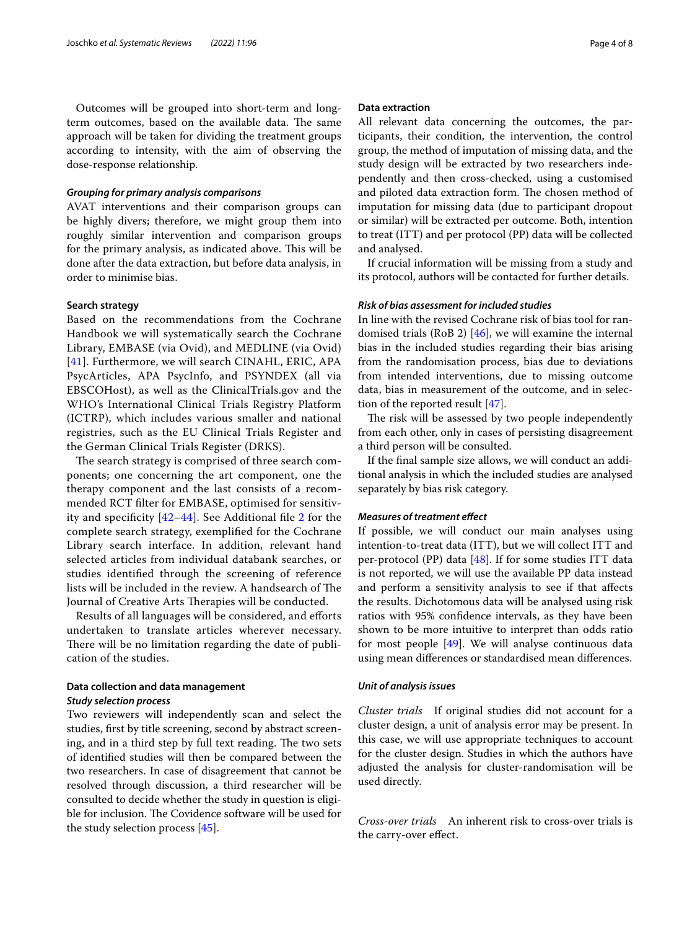Outcomes will be grouped into short-term and longterm outcomes, based on the available data. The same approach will be taken for dividing the treatment groups according to intensity, with the aim of observing the dose-response relationship.

## *Grouping for primary analysis comparisons*

AVAT interventions and their comparison groups can be highly divers; therefore, we might group them into roughly similar intervention and comparison groups for the primary analysis, as indicated above. This will be done after the data extraction, but before data analysis, in order to minimise bias.

## **Search strategy**

Based on the recommendations from the Cochrane Handbook we will systematically search the Cochrane Library, EMBASE (via Ovid), and MEDLINE (via Ovid) [[41](#page-6-33)]. Furthermore, we will search CINAHL, ERIC, APA PsycArticles, APA PsycInfo, and PSYNDEX (all via EBSCOHost), as well as the ClinicalTrials.gov and the WHO's International Clinical Trials Registry Platform (ICTRP), which includes various smaller and national registries, such as the EU Clinical Trials Register and the German Clinical Trials Register (DRKS).

The search strategy is comprised of three search components; one concerning the art component, one the therapy component and the last consists of a recommended RCT flter for EMBASE, optimised for sensitivity and specificity  $[42-44]$  $[42-44]$  $[42-44]$ . See Additional file [2](#page-5-4) for the complete search strategy, exemplifed for the Cochrane Library search interface. In addition, relevant hand selected articles from individual databank searches, or studies identifed through the screening of reference lists will be included in the review. A handsearch of The Journal of Creative Arts Therapies will be conducted.

Results of all languages will be considered, and eforts undertaken to translate articles wherever necessary. There will be no limitation regarding the date of publication of the studies.

# **Data collection and data management**

## *Study selection process*

Two reviewers will independently scan and select the studies, frst by title screening, second by abstract screening, and in a third step by full text reading. The two sets of identifed studies will then be compared between the two researchers. In case of disagreement that cannot be resolved through discussion, a third researcher will be consulted to decide whether the study in question is eligible for inclusion. The Covidence software will be used for the study selection process [\[45](#page-7-2)].

## **Data extraction**

All relevant data concerning the outcomes, the participants, their condition, the intervention, the control group, the method of imputation of missing data, and the study design will be extracted by two researchers independently and then cross-checked, using a customised and piloted data extraction form. The chosen method of imputation for missing data (due to participant dropout or similar) will be extracted per outcome. Both, intention to treat (ITT) and per protocol (PP) data will be collected and analysed.

If crucial information will be missing from a study and its protocol, authors will be contacted for further details.

## *Risk of bias assessment for included studies*

In line with the revised Cochrane risk of bias tool for randomised trials (RoB 2) [\[46](#page-7-3)], we will examine the internal bias in the included studies regarding their bias arising from the randomisation process, bias due to deviations from intended interventions, due to missing outcome data, bias in measurement of the outcome, and in selection of the reported result [[47\]](#page-7-4).

The risk will be assessed by two people independently from each other, only in cases of persisting disagreement a third person will be consulted.

If the fnal sample size allows, we will conduct an additional analysis in which the included studies are analysed separately by bias risk category.

## *Measures of treatment efect*

If possible, we will conduct our main analyses using intention-to-treat data (ITT), but we will collect ITT and per-protocol (PP) data [\[48](#page-7-5)]. If for some studies ITT data is not reported, we will use the available PP data instead and perform a sensitivity analysis to see if that afects the results. Dichotomous data will be analysed using risk ratios with 95% confdence intervals, as they have been shown to be more intuitive to interpret than odds ratio for most people [\[49](#page-7-6)]. We will analyse continuous data using mean diferences or standardised mean diferences.

## *Unit of analysis issues*

*Cluster trials* If original studies did not account for a cluster design, a unit of analysis error may be present. In this case, we will use appropriate techniques to account for the cluster design. Studies in which the authors have adjusted the analysis for cluster-randomisation will be used directly.

*Cross‑over trials* An inherent risk to cross-over trials is the carry-over efect.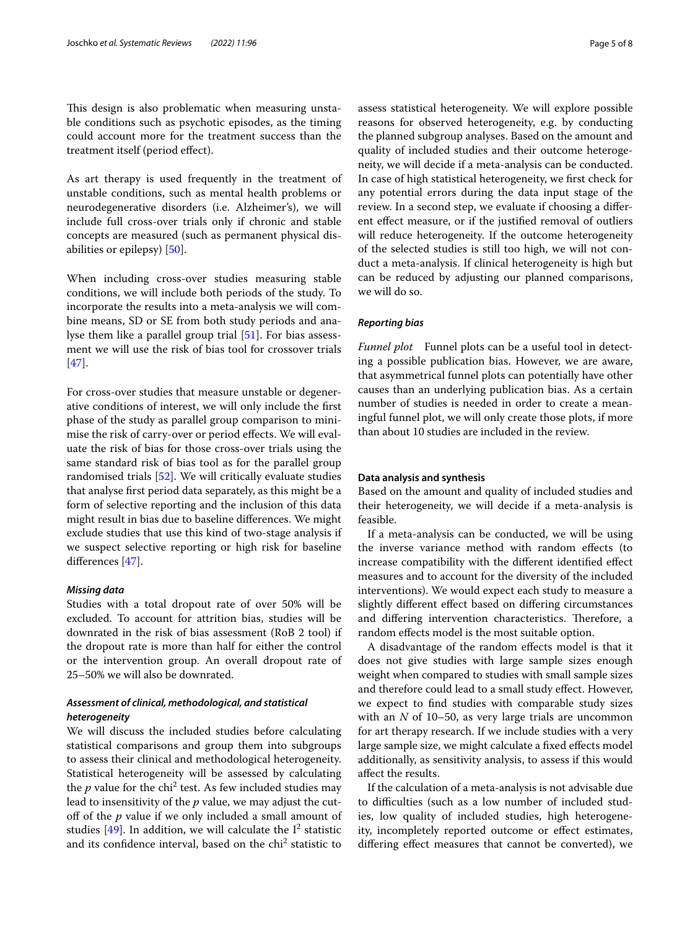This design is also problematic when measuring unstable conditions such as psychotic episodes, as the timing could account more for the treatment success than the treatment itself (period efect).

As art therapy is used frequently in the treatment of unstable conditions, such as mental health problems or neurodegenerative disorders (i.e. Alzheimer's), we will include full cross-over trials only if chronic and stable concepts are measured (such as permanent physical disabilities or epilepsy) [[50](#page-7-7)].

When including cross-over studies measuring stable conditions, we will include both periods of the study. To incorporate the results into a meta-analysis we will combine means, SD or SE from both study periods and analyse them like a parallel group trial [\[51\]](#page-7-8). For bias assessment we will use the risk of bias tool for crossover trials [[47\]](#page-7-4).

For cross-over studies that measure unstable or degenerative conditions of interest, we will only include the frst phase of the study as parallel group comparison to minimise the risk of carry-over or period efects. We will evaluate the risk of bias for those cross-over trials using the same standard risk of bias tool as for the parallel group randomised trials [[52\]](#page-7-9). We will critically evaluate studies that analyse frst period data separately, as this might be a form of selective reporting and the inclusion of this data might result in bias due to baseline diferences. We might exclude studies that use this kind of two-stage analysis if we suspect selective reporting or high risk for baseline diferences [\[47](#page-7-4)].

## *Missing data*

Studies with a total dropout rate of over 50% will be excluded. To account for attrition bias, studies will be downrated in the risk of bias assessment (RoB 2 tool) if the dropout rate is more than half for either the control or the intervention group. An overall dropout rate of 25–50% we will also be downrated.

## *Assessment of clinical, methodological, and statistical heterogeneity*

We will discuss the included studies before calculating statistical comparisons and group them into subgroups to assess their clinical and methodological heterogeneity. Statistical heterogeneity will be assessed by calculating the  $p$  value for the chi<sup>2</sup> test. As few included studies may lead to insensitivity of the *p* value, we may adjust the cutof of the *p* value if we only included a small amount of studies  $[49]$  $[49]$  $[49]$ . In addition, we will calculate the  $I^2$  statistic and its confidence interval, based on the  $\text{chi}^2$  statistic to assess statistical heterogeneity. We will explore possible reasons for observed heterogeneity, e.g. by conducting the planned subgroup analyses. Based on the amount and quality of included studies and their outcome heterogeneity, we will decide if a meta-analysis can be conducted. In case of high statistical heterogeneity, we frst check for any potential errors during the data input stage of the review. In a second step, we evaluate if choosing a diferent efect measure, or if the justifed removal of outliers will reduce heterogeneity. If the outcome heterogeneity of the selected studies is still too high, we will not conduct a meta-analysis. If clinical heterogeneity is high but can be reduced by adjusting our planned comparisons, we will do so.

## *Reporting bias*

*Funnel plot* Funnel plots can be a useful tool in detecting a possible publication bias. However, we are aware, that asymmetrical funnel plots can potentially have other causes than an underlying publication bias. As a certain number of studies is needed in order to create a meaningful funnel plot, we will only create those plots, if more than about 10 studies are included in the review.

## **Data analysis and synthesis**

Based on the amount and quality of included studies and their heterogeneity, we will decide if a meta-analysis is feasible.

If a meta-analysis can be conducted, we will be using the inverse variance method with random efects (to increase compatibility with the diferent identifed efect measures and to account for the diversity of the included interventions). We would expect each study to measure a slightly diferent efect based on difering circumstances and differing intervention characteristics. Therefore, a random efects model is the most suitable option.

A disadvantage of the random efects model is that it does not give studies with large sample sizes enough weight when compared to studies with small sample sizes and therefore could lead to a small study efect. However, we expect to fnd studies with comparable study sizes with an *N* of 10–50, as very large trials are uncommon for art therapy research. If we include studies with a very large sample size, we might calculate a fxed efects model additionally, as sensitivity analysis, to assess if this would afect the results.

If the calculation of a meta-analysis is not advisable due to difficulties (such as a low number of included studies, low quality of included studies, high heterogeneity, incompletely reported outcome or efect estimates, difering efect measures that cannot be converted), we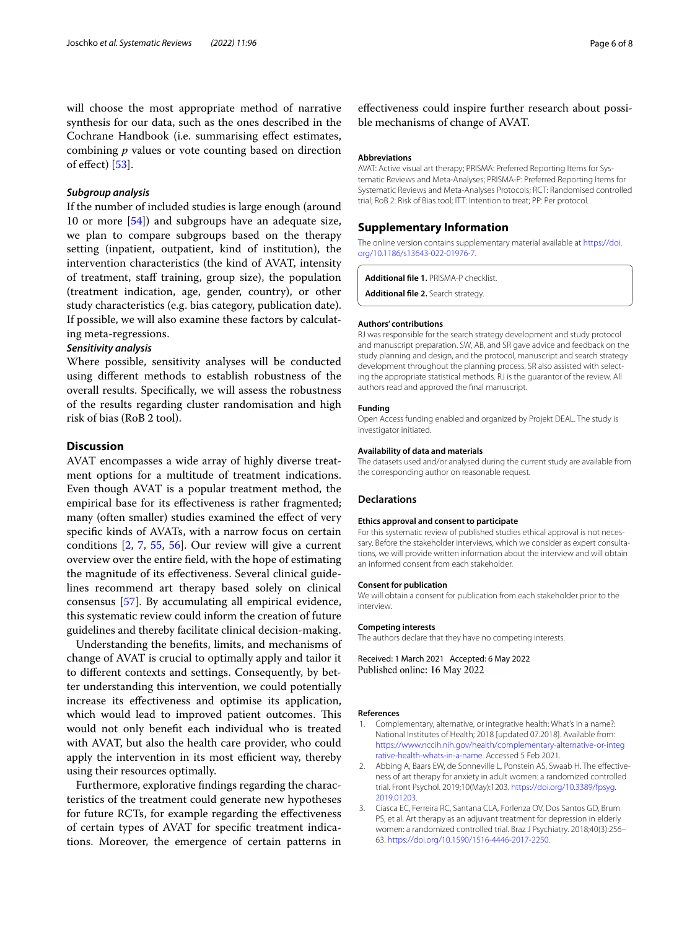will choose the most appropriate method of narrative synthesis for our data, such as the ones described in the Cochrane Handbook (i.e. summarising efect estimates, combining *p* values or vote counting based on direction of efect) [\[53](#page-7-10)].

## *Subgroup analysis*

If the number of included studies is large enough (around 10 or more [\[54](#page-7-11)]) and subgroups have an adequate size, we plan to compare subgroups based on the therapy setting (inpatient, outpatient, kind of institution), the intervention characteristics (the kind of AVAT, intensity of treatment, staff training, group size), the population (treatment indication, age, gender, country), or other study characteristics (e.g. bias category, publication date). If possible, we will also examine these factors by calculating meta-regressions.

## *Sensitivity analysis*

Where possible, sensitivity analyses will be conducted using diferent methods to establish robustness of the overall results. Specifcally, we will assess the robustness of the results regarding cluster randomisation and high risk of bias (RoB 2 tool).

## **Discussion**

AVAT encompasses a wide array of highly diverse treatment options for a multitude of treatment indications. Even though AVAT is a popular treatment method, the empirical base for its efectiveness is rather fragmented; many (often smaller) studies examined the effect of very specifc kinds of AVATs, with a narrow focus on certain conditions  $[2, 7, 55, 56]$  $[2, 7, 55, 56]$  $[2, 7, 55, 56]$  $[2, 7, 55, 56]$  $[2, 7, 55, 56]$  $[2, 7, 55, 56]$  $[2, 7, 55, 56]$  $[2, 7, 55, 56]$ . Our review will give a current overview over the entire feld, with the hope of estimating the magnitude of its efectiveness. Several clinical guidelines recommend art therapy based solely on clinical consensus [\[57](#page-7-14)]. By accumulating all empirical evidence, this systematic review could inform the creation of future guidelines and thereby facilitate clinical decision-making.

Understanding the benefts, limits, and mechanisms of change of AVAT is crucial to optimally apply and tailor it to diferent contexts and settings. Consequently, by better understanding this intervention, we could potentially increase its efectiveness and optimise its application, which would lead to improved patient outcomes. This would not only beneft each individual who is treated with AVAT, but also the health care provider, who could apply the intervention in its most efficient way, thereby using their resources optimally.

Furthermore, explorative fndings regarding the characteristics of the treatment could generate new hypotheses for future RCTs, for example regarding the efectiveness of certain types of AVAT for specifc treatment indications. Moreover, the emergence of certain patterns in

efectiveness could inspire further research about possible mechanisms of change of AVAT.

## **Abbreviations**

AVAT: Active visual art therapy; PRISMA: Preferred Reporting Items for Systematic Reviews and Meta-Analyses; PRISMA-P: Preferred Reporting Items for Systematic Reviews and Meta-Analyses Protocols; RCT: Randomised controlled trial; RoB 2: Risk of Bias tool; ITT: Intention to treat; PP: Per protocol.

## **Supplementary Information**

The online version contains supplementary material available at [https://doi.](https://doi.org/10.1186/s13643-022-01976-7) [org/10.1186/s13643-022-01976-7](https://doi.org/10.1186/s13643-022-01976-7).

<span id="page-5-4"></span><span id="page-5-3"></span>**Additional fle 1.** PRISMA-P checklist.

**Additional fle 2.** Search strategy.

#### **Authors' contributions**

RJ was responsible for the search strategy development and study protocol and manuscript preparation. SW, AB, and SR gave advice and feedback on the study planning and design, and the protocol, manuscript and search strategy development throughout the planning process. SR also assisted with selecting the appropriate statistical methods. RJ is the guarantor of the review. All authors read and approved the fnal manuscript.

#### **Funding**

Open Access funding enabled and organized by Projekt DEAL. The study is investigator initiated.

#### **Availability of data and materials**

The datasets used and/or analysed during the current study are available from the corresponding author on reasonable request.

## **Declarations**

#### **Ethics approval and consent to participate**

For this systematic review of published studies ethical approval is not necessary. Before the stakeholder interviews, which we consider as expert consultations, we will provide written information about the interview and will obtain an informed consent from each stakeholder.

#### **Consent for publication**

We will obtain a consent for publication from each stakeholder prior to the interview.

#### **Competing interests**

The authors declare that they have no competing interests.

Received: 1 March 2021 Accepted: 6 May 2022 Published online: 16 May 2022

#### **References**

- <span id="page-5-0"></span>1. Complementary, alternative, or integrative health: What's in a name?: National Institutes of Health; 2018 [updated 07.2018]. Available from: [https://www.nccih.nih.gov/health/complementary-alternative-or-integ](https://www.nccih.nih.gov/health/complementary-alternative-or-integrative-health-whats-in-a-name) [rative-health-whats-in-a-name.](https://www.nccih.nih.gov/health/complementary-alternative-or-integrative-health-whats-in-a-name) Accessed 5 Feb 2021.
- <span id="page-5-1"></span>2. Abbing A, Baars EW, de Sonneville L, Ponstein AS, Swaab H. The effectiveness of art therapy for anxiety in adult women: a randomized controlled trial. Front Psychol. 2019;10(May):1203. [https://doi.org/10.3389/fpsyg.](https://doi.org/10.3389/fpsyg.2019.01203) [2019.01203.](https://doi.org/10.3389/fpsyg.2019.01203)
- <span id="page-5-2"></span>3. Ciasca EC, Ferreira RC, Santana CLA, Forlenza OV, Dos Santos GD, Brum PS, et al. Art therapy as an adjuvant treatment for depression in elderly women: a randomized controlled trial. Braz J Psychiatry. 2018;40(3):256– 63. <https://doi.org/10.1590/1516-4446-2017-2250>.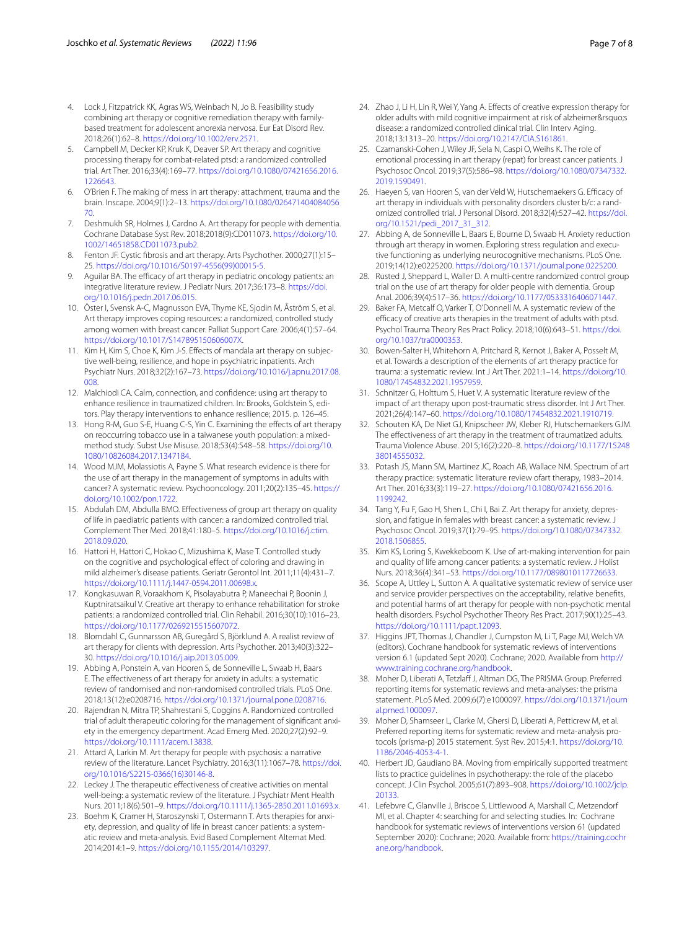- <span id="page-6-0"></span>4. Lock J, Fitzpatrick KK, Agras WS, Weinbach N, Jo B. Feasibility study combining art therapy or cognitive remediation therapy with familybased treatment for adolescent anorexia nervosa. Eur Eat Disord Rev. 2018;26(1):62–8. [https://doi.org/10.1002/erv.2571.](https://doi.org/10.1002/erv.2571)
- <span id="page-6-1"></span>5. Campbell M, Decker KP, Kruk K, Deaver SP. Art therapy and cognitive processing therapy for combat-related ptsd: a randomized controlled trial. Art Ther. 2016;33(4):169–77. [https://doi.org/10.1080/07421656.2016.](https://doi.org/10.1080/07421656.2016.1226643) [1226643](https://doi.org/10.1080/07421656.2016.1226643).
- <span id="page-6-2"></span>6. O'Brien F. The making of mess in art therapy: attachment, trauma and the brain. Inscape. 2004;9(1):2–13. [https://doi.org/10.1080/026471404084056](https://doi.org/10.1080/02647140408405670) [70](https://doi.org/10.1080/02647140408405670).
- <span id="page-6-3"></span>7. Deshmukh SR, Holmes J, Cardno A. Art therapy for people with dementia. Cochrane Database Syst Rev. 2018;2018(9):CD011073. [https://doi.org/10.](https://doi.org/10.1002/14651858.CD011073.pub2) [1002/14651858.CD011073.pub2.](https://doi.org/10.1002/14651858.CD011073.pub2)
- <span id="page-6-4"></span>8. Fenton JF. Cystic fibrosis and art therapy. Arts Psychother. 2000;27(1):15-25. [https://doi.org/10.1016/S0197-4556\(99\)00015-5](https://doi.org/10.1016/S0197-4556(99)00015-5).
- <span id="page-6-5"></span>9. Aguilar BA. The efficacy of art therapy in pediatric oncology patients: an integrative literature review. J Pediatr Nurs. 2017;36:173–8. [https://doi.](https://doi.org/10.1016/j.pedn.2017.06.015) [org/10.1016/j.pedn.2017.06.015.](https://doi.org/10.1016/j.pedn.2017.06.015)
- <span id="page-6-6"></span>10. Öster I, Svensk A-C, Magnusson EVA, Thyme KE, Sjodin M, Åström S, et al. Art therapy improves coping resources: a randomized, controlled study among women with breast cancer. Palliat Support Care. 2006;4(1):57–64. <https://doi.org/10.1017/S147895150606007X>.
- <span id="page-6-7"></span>11. Kim H, Kim S, Choe K, Kim J-S. Efects of mandala art therapy on subjective well-being, resilience, and hope in psychiatric inpatients. Arch Psychiatr Nurs. 2018;32(2):167–73. [https://doi.org/10.1016/j.apnu.2017.08.](https://doi.org/10.1016/j.apnu.2017.08.008) [008.](https://doi.org/10.1016/j.apnu.2017.08.008)
- <span id="page-6-8"></span>12. Malchiodi CA. Calm, connection, and confdence: using art therapy to enhance resilience in traumatized children. In: Brooks, Goldstein S, editors. Play therapy interventions to enhance resilience; 2015. p. 126–45.
- <span id="page-6-9"></span>13. Hong R-M, Guo S-E, Huang C-S, Yin C. Examining the efects of art therapy on reoccurring tobacco use in a taiwanese youth population: a mixedmethod study. Subst Use Misuse. 2018;53(4):548–58. [https://doi.org/10.](https://doi.org/10.1080/10826084.2017.1347184) [1080/10826084.2017.1347184](https://doi.org/10.1080/10826084.2017.1347184).
- <span id="page-6-10"></span>14. Wood MJM, Molassiotis A, Payne S. What research evidence is there for the use of art therapy in the management of symptoms in adults with cancer? A systematic review. Psychooncology. 2011;20(2):135–45. [https://](https://doi.org/10.1002/pon.1722) [doi.org/10.1002/pon.1722](https://doi.org/10.1002/pon.1722).
- <span id="page-6-11"></span>15. Abdulah DM, Abdulla BMO. Efectiveness of group art therapy on quality of life in paediatric patients with cancer: a randomized controlled trial. Complement Ther Med. 2018;41:180–5. [https://doi.org/10.1016/j.ctim.](https://doi.org/10.1016/j.ctim.2018.09.020) [2018.09.020](https://doi.org/10.1016/j.ctim.2018.09.020).
- <span id="page-6-21"></span>16. Hattori H, Hattori C, Hokao C, Mizushima K, Mase T. Controlled study on the cognitive and psychological efect of coloring and drawing in mild alzheimer's disease patients. Geriatr Gerontol Int. 2011;11(4):431–7. [https://doi.org/10.1111/j.1447-0594.2011.00698.x.](https://doi.org/10.1111/j.1447-0594.2011.00698.x)
- <span id="page-6-12"></span>17. Kongkasuwan R, Voraakhom K, Pisolayabutra P, Maneechai P, Boonin J, Kuptniratsaikul V. Creative art therapy to enhance rehabilitation for stroke patients: a randomized controlled trial. Clin Rehabil. 2016;30(10):1016–23. <https://doi.org/10.1177/0269215515607072>.
- <span id="page-6-13"></span>18. Blomdahl C, Gunnarsson AB, Guregård S, Björklund A. A realist review of art therapy for clients with depression. Arts Psychother. 2013;40(3):322– 30. <https://doi.org/10.1016/j.aip.2013.05.009>.
- <span id="page-6-14"></span>19. Abbing A, Ponstein A, van Hooren S, de Sonneville L, Swaab H, Baars E. The efectiveness of art therapy for anxiety in adults: a systematic review of randomised and non-randomised controlled trials. PLoS One. 2018;13(12):e0208716. <https://doi.org/10.1371/journal.pone.0208716>.
- <span id="page-6-15"></span>20. Rajendran N, Mitra TP, Shahrestani S, Coggins A. Randomized controlled trial of adult therapeutic coloring for the management of signifcant anxiety in the emergency department. Acad Emerg Med. 2020;27(2):92–9. [https://doi.org/10.1111/acem.13838.](https://doi.org/10.1111/acem.13838)
- <span id="page-6-16"></span>21. Attard A, Larkin M. Art therapy for people with psychosis: a narrative review of the literature. Lancet Psychiatry. 2016;3(11):1067–78. [https://doi.](https://doi.org/10.1016/S2215-0366(16)30146-8) [org/10.1016/S2215-0366\(16\)30146-8.](https://doi.org/10.1016/S2215-0366(16)30146-8)
- <span id="page-6-17"></span>22. Leckey J. The therapeutic effectiveness of creative activities on mental well-being: a systematic review of the literature. J Psychiatr Ment Health Nurs. 2011;18(6):501–9. <https://doi.org/10.1111/j.1365-2850.2011.01693.x>.
- <span id="page-6-18"></span>23. Boehm K, Cramer H, Staroszynski T, Ostermann T. Arts therapies for anxiety, depression, and quality of life in breast cancer patients: a systematic review and meta-analysis. Evid Based Complement Alternat Med. 2014;2014:1–9. [https://doi.org/10.1155/2014/103297.](https://doi.org/10.1155/2014/103297)
- <span id="page-6-19"></span>24. Zhao J, Li H, Lin R, Wei Y, Yang A. Efects of creative expression therapy for older adults with mild cognitive impairment at risk of alzheimer's disease: a randomized controlled clinical trial. Clin Interv Aging. 2018;13:1313–20. [https://doi.org/10.2147/CIA.S161861.](https://doi.org/10.2147/CIA.S161861)
- 25. Czamanski-Cohen J, Wiley JF, Sela N, Caspi O, Weihs K. The role of emotional processing in art therapy (repat) for breast cancer patients. J Psychosoc Oncol. 2019;37(5):586–98. [https://doi.org/10.1080/07347332.](https://doi.org/10.1080/07347332.2019.1590491) [2019.1590491](https://doi.org/10.1080/07347332.2019.1590491).
- <span id="page-6-20"></span>26. Haeyen S, van Hooren S, van der Veld W, Hutschemaekers G. Efficacy of art therapy in individuals with personality disorders cluster b/c: a randomized controlled trial. J Personal Disord. 2018;32(4):527–42. [https://doi.](https://doi.org/10.1521/pedi_2017_31_312) [org/10.1521/pedi\\_2017\\_31\\_312](https://doi.org/10.1521/pedi_2017_31_312).
- <span id="page-6-22"></span>27. Abbing A, de Sonneville L, Baars E, Bourne D, Swaab H. Anxiety reduction through art therapy in women. Exploring stress regulation and executive functioning as underlying neurocognitive mechanisms. PLoS One. 2019;14(12):e0225200. <https://doi.org/10.1371/journal.pone.0225200>.
- <span id="page-6-23"></span>28. Rusted J, Sheppard L, Waller D. A multi-centre randomized control group trial on the use of art therapy for older people with dementia. Group Anal. 2006;39(4):517–36. [https://doi.org/10.1177/0533316406071447.](https://doi.org/10.1177/0533316406071447)
- <span id="page-6-24"></span>29. Baker FA, Metcalf O, Varker T, O'Donnell M. A systematic review of the efficacy of creative arts therapies in the treatment of adults with ptsd. Psychol Trauma Theory Res Pract Policy. 2018;10(6):643–51. [https://doi.](https://doi.org/10.1037/tra0000353) [org/10.1037/tra0000353](https://doi.org/10.1037/tra0000353).
- 30. Bowen-Salter H, Whitehorn A, Pritchard R, Kernot J, Baker A, Posselt M, et al. Towards a description of the elements of art therapy practice for trauma: a systematic review. Int J Art Ther. 2021:1–14. [https://doi.org/10.](https://doi.org/10.1080/17454832.2021.1957959) [1080/17454832.2021.1957959](https://doi.org/10.1080/17454832.2021.1957959).
- 31. Schnitzer G, Holttum S, Huet V. A systematic literature review of the impact of art therapy upon post-traumatic stress disorder. Int J Art Ther. 2021;26(4):147–60. [https://doi.org/10.1080/17454832.2021.1910719.](https://doi.org/10.1080/17454832.2021.1910719)
- 32. Schouten KA, De Niet GJ, Knipscheer JW, Kleber RJ, Hutschemaekers GJM. The effectiveness of art therapy in the treatment of traumatized adults. Trauma Violence Abuse. 2015;16(2):220–8. [https://doi.org/10.1177/15248](https://doi.org/10.1177/1524838014555032) [38014555032.](https://doi.org/10.1177/1524838014555032)
- <span id="page-6-25"></span>33. Potash JS, Mann SM, Martinez JC, Roach AB, Wallace NM. Spectrum of art therapy practice: systematic literature review ofart therapy, 1983–2014. Art Ther. 2016;33(3):119–27. [https://doi.org/10.1080/07421656.2016.](https://doi.org/10.1080/07421656.2016.1199242) [1199242](https://doi.org/10.1080/07421656.2016.1199242).
- <span id="page-6-26"></span>34. Tang Y, Fu F, Gao H, Shen L, Chi I, Bai Z. Art therapy for anxiety, depression, and fatigue in females with breast cancer: a systematic review. J Psychosoc Oncol. 2019;37(1):79–95. [https://doi.org/10.1080/07347332.](https://doi.org/10.1080/07347332.2018.1506855) [2018.1506855](https://doi.org/10.1080/07347332.2018.1506855).
- <span id="page-6-27"></span>35. Kim KS, Loring S, Kwekkeboom K. Use of art-making intervention for pain and quality of life among cancer patients: a systematic review. J Holist Nurs. 2018;36(4):341–53. [https://doi.org/10.1177/0898010117726633.](https://doi.org/10.1177/0898010117726633)
- <span id="page-6-28"></span>36. Scope A, Uttley L, Sutton A. A qualitative systematic review of service user and service provider perspectives on the acceptability, relative benefts, and potential harms of art therapy for people with non-psychotic mental health disorders. Psychol Psychother Theory Res Pract. 2017;90(1):25–43. <https://doi.org/10.1111/papt.12093>.
- <span id="page-6-29"></span>37. Higgins JPT, Thomas J, Chandler J, Cumpston M, Li T, Page MJ, Welch VA (editors). Cochrane handbook for systematic reviews of interventions version 6.1 (updated Sept 2020). Cochrane; 2020. Available from [http://](http://www.training.cochrane.org/handbook) [www.training.cochrane.org/handbook.](http://www.training.cochrane.org/handbook)
- <span id="page-6-30"></span>38. Moher D, Liberati A, Tetzlaff J, Altman DG, The PRISMA Group. Preferred reporting items for systematic reviews and meta-analyses: the prisma statement. PLoS Med. 2009;6(7):e1000097. [https://doi.org/10.1371/journ](https://doi.org/10.1371/journal.pmed.1000097) [al.pmed.1000097.](https://doi.org/10.1371/journal.pmed.1000097)
- <span id="page-6-31"></span>39. Moher D, Shamseer L, Clarke M, Ghersi D, Liberati A, Petticrew M, et al. Preferred reporting items for systematic review and meta-analysis protocols (prisma-p) 2015 statement. Syst Rev. 2015;4:1. [https://doi.org/10.](https://doi.org/10.1186/2046-4053-4-1) [1186/2046-4053-4-1](https://doi.org/10.1186/2046-4053-4-1).
- <span id="page-6-32"></span>40. Herbert JD, Gaudiano BA. Moving from empirically supported treatment lists to practice guidelines in psychotherapy: the role of the placebo concept. J Clin Psychol. 2005;61(7):893–908. [https://doi.org/10.1002/jclp.](https://doi.org/10.1002/jclp.20133) [20133](https://doi.org/10.1002/jclp.20133).
- <span id="page-6-33"></span>41. Lefebvre C, Glanville J, Briscoe S, Littlewood A, Marshall C, Metzendorf MI, et al. Chapter 4: searching for and selecting studies. In: Cochrane handbook for systematic reviews of interventions version 61 (updated September 2020): Cochrane; 2020. Available from: [https://training.cochr](https://training.cochrane.org/handbook) [ane.org/handbook.](https://training.cochrane.org/handbook)